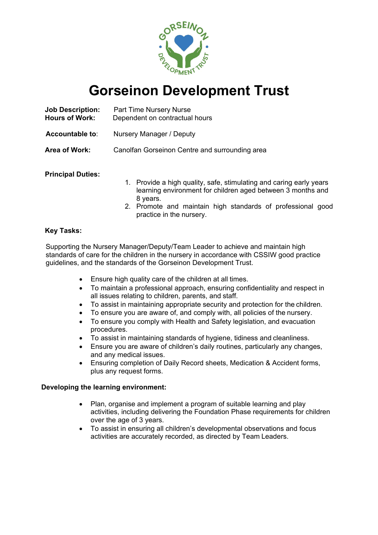

# **Gorseinon Development Trust**

| <b>Job Description:</b><br><b>Hours of Work:</b> | Part Time Nursery Nurse<br>Dependent on contractual hours |
|--------------------------------------------------|-----------------------------------------------------------|
| <b>Accountable to:</b>                           | Nursery Manager / Deputy                                  |
| Area of Work:                                    | Canolfan Gorseinon Centre and surrounding area            |
|                                                  |                                                           |

# **Principal Duties:**

- 1. Provide a high quality, safe, stimulating and caring early years learning environment for children aged between 3 months and 8 years.
- 2. Promote and maintain high standards of professional good practice in the nursery.

# **Key Tasks:**

Supporting the Nursery Manager/Deputy/Team Leader to achieve and maintain high standards of care for the children in the nursery in accordance with CSSIW good practice guidelines, and the standards of the Gorseinon Development Trust.

- Ensure high quality care of the children at all times.
- To maintain a professional approach, ensuring confidentiality and respect in all issues relating to children, parents, and staff.
- To assist in maintaining appropriate security and protection for the children.
- To ensure you are aware of, and comply with, all policies of the nursery.
- To ensure you comply with Health and Safety legislation, and evacuation procedures.
- To assist in maintaining standards of hygiene, tidiness and cleanliness.
- Ensure you are aware of children's daily routines, particularly any changes, and any medical issues.
- Ensuring completion of Daily Record sheets, Medication & Accident forms, plus any request forms.

### **Developing the learning environment:**

- Plan, organise and implement a program of suitable learning and play activities, including delivering the Foundation Phase requirements for children over the age of 3 years.
- To assist in ensuring all children's developmental observations and focus activities are accurately recorded, as directed by Team Leaders.